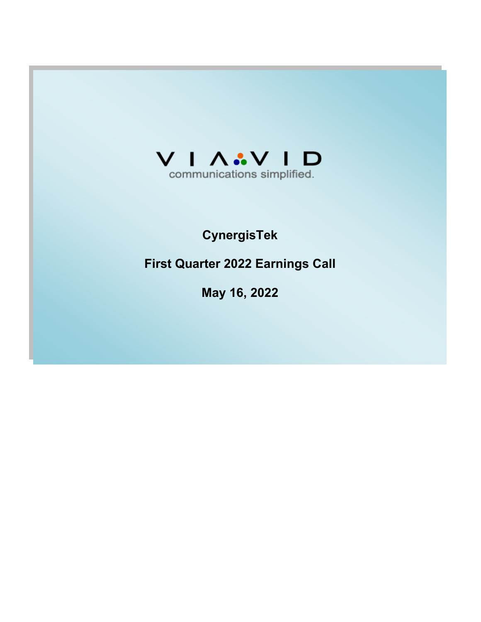

# **CynergisTek**

**First Quarter 2022 Earnings Call**

**May 16, 2022**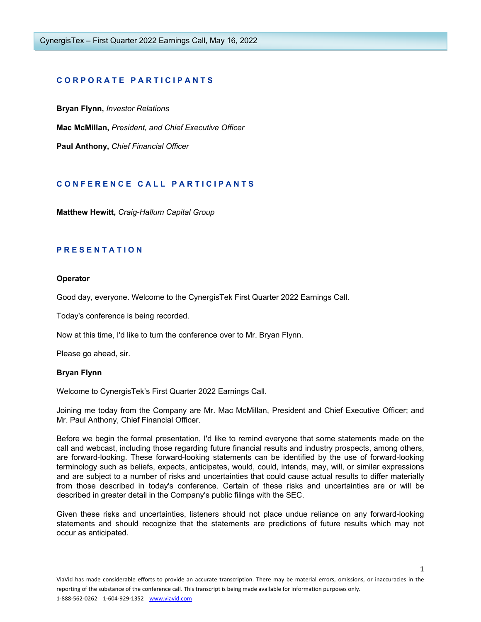## **C O R P O R A T E P A R T I C I P A N T S**

**Bryan Flynn,** *Investor Relations* **Mac McMillan,** *President, and Chief Executive Officer*

**Paul Anthony,** *Chief Financial Officer*

## **C O N F E R E N C E C A L L P A R T I C I P A N T S**

**Matthew Hewitt,** *Craig-Hallum Capital Group*

## **P R E S E N T A T I O N**

## **Operator**

Good day, everyone. Welcome to the CynergisTek First Quarter 2022 Earnings Call.

Today's conference is being recorded.

Now at this time, I'd like to turn the conference over to Mr. Bryan Flynn.

Please go ahead, sir.

#### **Bryan Flynn**

Welcome to CynergisTek's First Quarter 2022 Earnings Call.

Joining me today from the Company are Mr. Mac McMillan, President and Chief Executive Officer; and Mr. Paul Anthony, Chief Financial Officer.

Before we begin the formal presentation, I'd like to remind everyone that some statements made on the call and webcast, including those regarding future financial results and industry prospects, among others, are forward-looking. These forward-looking statements can be identified by the use of forward-looking terminology such as beliefs, expects, anticipates, would, could, intends, may, will, or similar expressions and are subject to a number of risks and uncertainties that could cause actual results to differ materially from those described in today's conference. Certain of these risks and uncertainties are or will be described in greater detail in the Company's public filings with the SEC.

Given these risks and uncertainties, listeners should not place undue reliance on any forward-looking statements and should recognize that the statements are predictions of future results which may not occur as anticipated.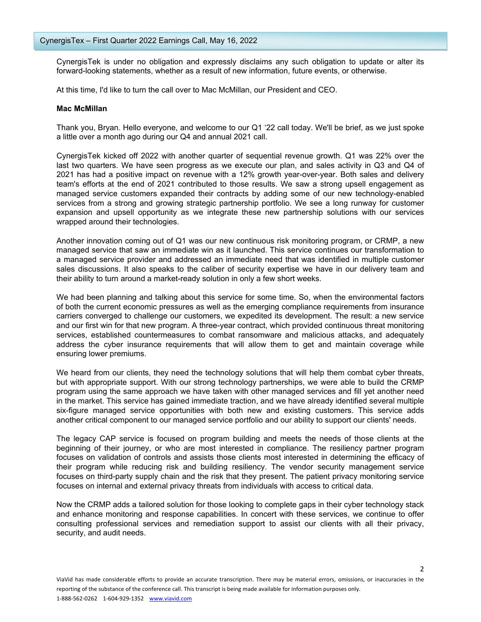CynergisTek is under no obligation and expressly disclaims any such obligation to update or alter its forward-looking statements, whether as a result of new information, future events, or otherwise.

At this time, I'd like to turn the call over to Mac McMillan, our President and CEO.

## **Mac McMillan**

Thank you, Bryan. Hello everyone, and welcome to our Q1 '22 call today. We'll be brief, as we just spoke a little over a month ago during our Q4 and annual 2021 call.

CynergisTek kicked off 2022 with another quarter of sequential revenue growth. Q1 was 22% over the last two quarters. We have seen progress as we execute our plan, and sales activity in Q3 and Q4 of 2021 has had a positive impact on revenue with a 12% growth year-over-year. Both sales and delivery team's efforts at the end of 2021 contributed to those results. We saw a strong upsell engagement as managed service customers expanded their contracts by adding some of our new technology-enabled services from a strong and growing strategic partnership portfolio. We see a long runway for customer expansion and upsell opportunity as we integrate these new partnership solutions with our services wrapped around their technologies.

Another innovation coming out of Q1 was our new continuous risk monitoring program, or CRMP, a new managed service that saw an immediate win as it launched. This service continues our transformation to a managed service provider and addressed an immediate need that was identified in multiple customer sales discussions. It also speaks to the caliber of security expertise we have in our delivery team and their ability to turn around a market-ready solution in only a few short weeks.

We had been planning and talking about this service for some time. So, when the environmental factors of both the current economic pressures as well as the emerging compliance requirements from insurance carriers converged to challenge our customers, we expedited its development. The result: a new service and our first win for that new program. A three-year contract, which provided continuous threat monitoring services, established countermeasures to combat ransomware and malicious attacks, and adequately address the cyber insurance requirements that will allow them to get and maintain coverage while ensuring lower premiums.

We heard from our clients, they need the technology solutions that will help them combat cyber threats, but with appropriate support. With our strong technology partnerships, we were able to build the CRMP program using the same approach we have taken with other managed services and fill yet another need in the market. This service has gained immediate traction, and we have already identified several multiple six-figure managed service opportunities with both new and existing customers. This service adds another critical component to our managed service portfolio and our ability to support our clients' needs.

The legacy CAP service is focused on program building and meets the needs of those clients at the beginning of their journey, or who are most interested in compliance. The resiliency partner program focuses on validation of controls and assists those clients most interested in determining the efficacy of their program while reducing risk and building resiliency. The vendor security management service focuses on third-party supply chain and the risk that they present. The patient privacy monitoring service focuses on internal and external privacy threats from individuals with access to critical data.

Now the CRMP adds a tailored solution for those looking to complete gaps in their cyber technology stack and enhance monitoring and response capabilities. In concert with these services, we continue to offer consulting professional services and remediation support to assist our clients with all their privacy, security, and audit needs.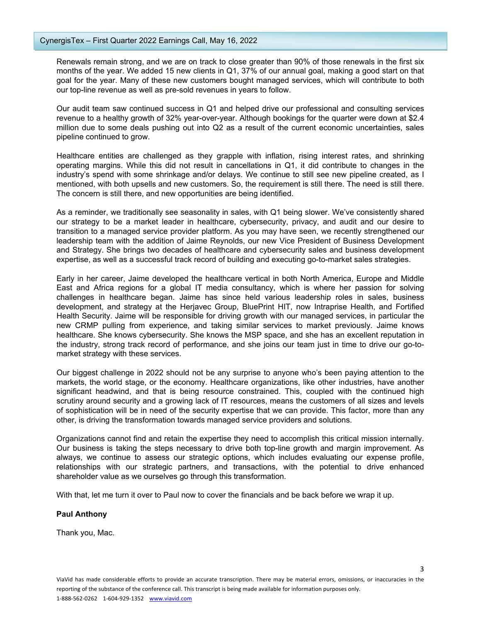Renewals remain strong, and we are on track to close greater than 90% of those renewals in the first six months of the year. We added 15 new clients in Q1, 37% of our annual goal, making a good start on that goal for the year. Many of these new customers bought managed services, which will contribute to both our top-line revenue as well as pre-sold revenues in years to follow.

Our audit team saw continued success in Q1 and helped drive our professional and consulting services revenue to a healthy growth of 32% year-over-year. Although bookings for the quarter were down at \$2.4 million due to some deals pushing out into Q2 as a result of the current economic uncertainties, sales pipeline continued to grow.

Healthcare entities are challenged as they grapple with inflation, rising interest rates, and shrinking operating margins. While this did not result in cancellations in Q1, it did contribute to changes in the industry's spend with some shrinkage and/or delays. We continue to still see new pipeline created, as I mentioned, with both upsells and new customers. So, the requirement is still there. The need is still there. The concern is still there, and new opportunities are being identified.

As a reminder, we traditionally see seasonality in sales, with Q1 being slower. We've consistently shared our strategy to be a market leader in healthcare, cybersecurity, privacy, and audit and our desire to transition to a managed service provider platform. As you may have seen, we recently strengthened our leadership team with the addition of Jaime Reynolds, our new Vice President of Business Development and Strategy. She brings two decades of healthcare and cybersecurity sales and business development expertise, as well as a successful track record of building and executing go-to-market sales strategies.

Early in her career, Jaime developed the healthcare vertical in both North America, Europe and Middle East and Africa regions for a global IT media consultancy, which is where her passion for solving challenges in healthcare began. Jaime has since held various leadership roles in sales, business development, and strategy at the Herjavec Group, BluePrint HIT, now Intraprise Health, and Fortified Health Security. Jaime will be responsible for driving growth with our managed services, in particular the new CRMP pulling from experience, and taking similar services to market previously. Jaime knows healthcare. She knows cybersecurity. She knows the MSP space, and she has an excellent reputation in the industry, strong track record of performance, and she joins our team just in time to drive our go-tomarket strategy with these services.

Our biggest challenge in 2022 should not be any surprise to anyone who's been paying attention to the markets, the world stage, or the economy. Healthcare organizations, like other industries, have another significant headwind, and that is being resource constrained. This, coupled with the continued high scrutiny around security and a growing lack of IT resources, means the customers of all sizes and levels of sophistication will be in need of the security expertise that we can provide. This factor, more than any other, is driving the transformation towards managed service providers and solutions.

Organizations cannot find and retain the expertise they need to accomplish this critical mission internally. Our business is taking the steps necessary to drive both top-line growth and margin improvement. As always, we continue to assess our strategic options, which includes evaluating our expense profile, relationships with our strategic partners, and transactions, with the potential to drive enhanced shareholder value as we ourselves go through this transformation.

With that, let me turn it over to Paul now to cover the financials and be back before we wrap it up.

## **Paul Anthony**

Thank you, Mac.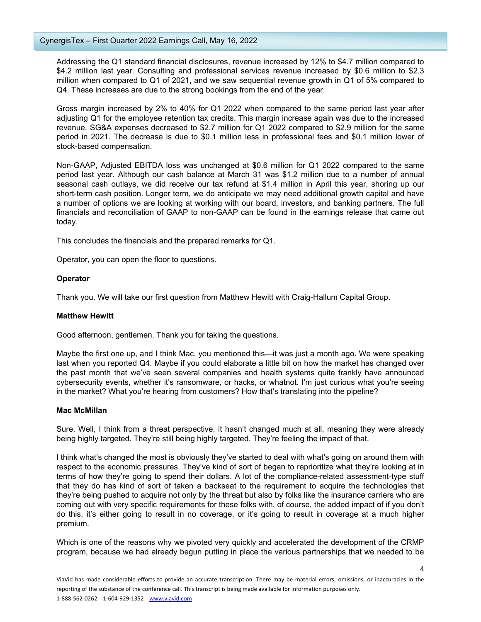Addressing the Q1 standard financial disclosures, revenue increased by 12% to \$4.7 million compared to \$4.2 million last year. Consulting and professional services revenue increased by \$0.6 million to \$2.3 million when compared to Q1 of 2021, and we saw sequential revenue growth in Q1 of 5% compared to Q4. These increases are due to the strong bookings from the end of the year.

Gross margin increased by 2% to 40% for Q1 2022 when compared to the same period last year after adjusting Q1 for the employee retention tax credits. This margin increase again was due to the increased revenue. SG&A expenses decreased to \$2.7 million for Q1 2022 compared to \$2.9 million for the same period in 2021. The decrease is due to \$0.1 million less in professional fees and \$0.1 million lower of stock-based compensation.

Non-GAAP, Adjusted EBITDA loss was unchanged at \$0.6 million for Q1 2022 compared to the same period last year. Although our cash balance at March 31 was \$1.2 million due to a number of annual seasonal cash outlays, we did receive our tax refund at \$1.4 million in April this year, shoring up our short-term cash position. Longer term, we do anticipate we may need additional growth capital and have a number of options we are looking at working with our board, investors, and banking partners. The full financials and reconciliation of GAAP to non-GAAP can be found in the earnings release that came out today.

This concludes the financials and the prepared remarks for Q1.

Operator, you can open the floor to questions.

#### **Operator**

Thank you. We will take our first question from Matthew Hewitt with Craig-Hallum Capital Group.

#### **Matthew Hewitt**

Good afternoon, gentlemen. Thank you for taking the questions.

Maybe the first one up, and I think Mac, you mentioned this—it was just a month ago. We were speaking last when you reported Q4. Maybe if you could elaborate a little bit on how the market has changed over the past month that we've seen several companies and health systems quite frankly have announced cybersecurity events, whether it's ransomware, or hacks, or whatnot. I'm just curious what you're seeing in the market? What you're hearing from customers? How that's translating into the pipeline?

#### **Mac McMillan**

Sure. Well, I think from a threat perspective, it hasn't changed much at all, meaning they were already being highly targeted. They're still being highly targeted. They're feeling the impact of that.

I think what's changed the most is obviously they've started to deal with what's going on around them with respect to the economic pressures. They've kind of sort of began to reprioritize what they're looking at in terms of how they're going to spend their dollars. A lot of the compliance-related assessment-type stuff that they do has kind of sort of taken a backseat to the requirement to acquire the technologies that they're being pushed to acquire not only by the threat but also by folks like the insurance carriers who are coming out with very specific requirements for these folks with, of course, the added impact of if you don't do this, it's either going to result in no coverage, or it's going to result in coverage at a much higher premium.

Which is one of the reasons why we pivoted very quickly and accelerated the development of the CRMP program, because we had already begun putting in place the various partnerships that we needed to be

4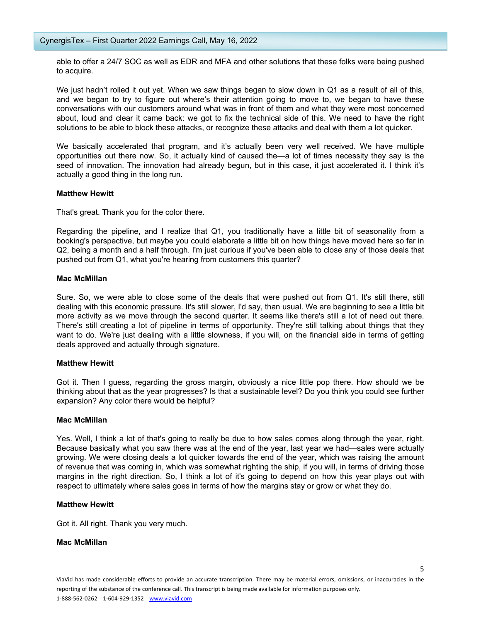able to offer a 24/7 SOC as well as EDR and MFA and other solutions that these folks were being pushed to acquire.

We just hadn't rolled it out yet. When we saw things began to slow down in Q1 as a result of all of this, and we began to try to figure out where's their attention going to move to, we began to have these conversations with our customers around what was in front of them and what they were most concerned about, loud and clear it came back: we got to fix the technical side of this. We need to have the right solutions to be able to block these attacks, or recognize these attacks and deal with them a lot quicker.

We basically accelerated that program, and it's actually been very well received. We have multiple opportunities out there now. So, it actually kind of caused the—a lot of times necessity they say is the seed of innovation. The innovation had already begun, but in this case, it just accelerated it. I think it's actually a good thing in the long run.

## **Matthew Hewitt**

That's great. Thank you for the color there.

Regarding the pipeline, and I realize that Q1, you traditionally have a little bit of seasonality from a booking's perspective, but maybe you could elaborate a little bit on how things have moved here so far in Q2, being a month and a half through. I'm just curious if you've been able to close any of those deals that pushed out from Q1, what you're hearing from customers this quarter?

## **Mac McMillan**

Sure. So, we were able to close some of the deals that were pushed out from Q1. It's still there, still dealing with this economic pressure. It's still slower, I'd say, than usual. We are beginning to see a little bit more activity as we move through the second quarter. It seems like there's still a lot of need out there. There's still creating a lot of pipeline in terms of opportunity. They're still talking about things that they want to do. We're just dealing with a little slowness, if you will, on the financial side in terms of getting deals approved and actually through signature.

## **Matthew Hewitt**

Got it. Then I guess, regarding the gross margin, obviously a nice little pop there. How should we be thinking about that as the year progresses? Is that a sustainable level? Do you think you could see further expansion? Any color there would be helpful?

## **Mac McMillan**

Yes. Well, I think a lot of that's going to really be due to how sales comes along through the year, right. Because basically what you saw there was at the end of the year, last year we had—sales were actually growing. We were closing deals a lot quicker towards the end of the year, which was raising the amount of revenue that was coming in, which was somewhat righting the ship, if you will, in terms of driving those margins in the right direction. So, I think a lot of it's going to depend on how this year plays out with respect to ultimately where sales goes in terms of how the margins stay or grow or what they do.

## **Matthew Hewitt**

Got it. All right. Thank you very much.

## **Mac McMillan**